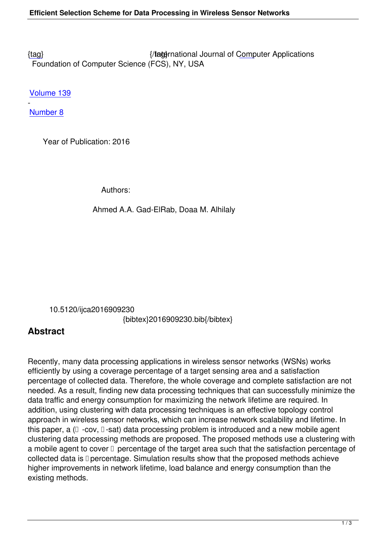{tag} International Journal of Computer Applications Foundation of Computer Science (FCS), NY, USA

[Volu](/research/volume139/number8/gadelrab-2016-ijca-909230.pdf)me 139

- Number 8

 [Year o](/archives/volume139/number8)f Publication: 2016

Authors:

Ahmed A.A. Gad-ElRab, Doaa M. Alhilaly

 10.5120/ijca2016909230 {bibtex}2016909230.bib{/bibtex}

## **Abstract**

Recently, many data processing applications in wireless sensor networks (WSNs) works efficiently by using a coverage percentage of a target sensing area and a satisfaction percentage of collected data. Therefore, the whole coverage and complete satisfaction are not needed. As a result, finding new data processing techniques that can successfully minimize the data traffic and energy consumption for maximizing the network lifetime are required. In addition, using clustering with data processing techniques is an effective topology control approach in wireless sensor networks, which can increase network scalability and lifetime. In this paper, a  $( \Box -cov, \Box -sat)$  data processing problem is introduced and a new mobile agent clustering data processing methods are proposed. The proposed methods use a clustering with a mobile agent to cover  $\Box$  percentage of the target area such that the satisfaction percentage of collected data is  $\square$  percentage. Simulation results show that the proposed methods achieve higher improvements in network lifetime, load balance and energy consumption than the existing methods.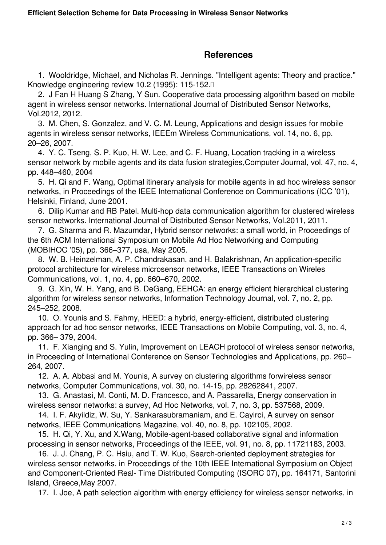## **References**

 1. Wooldridge, Michael, and Nicholas R. Jennings. "Intelligent agents: Theory and practice." Knowledge engineering review 10.2 (1995): 115-152.

 2. J Fan H Huang S Zhang, Y Sun. Cooperative data processing algorithm based on mobile agent in wireless sensor networks. International Journal of Distributed Sensor Networks, Vol.2012, 2012.

 3. M. Chen, S. Gonzalez, and V. C. M. Leung, Applications and design issues for mobile agents in wireless sensor networks, IEEEm Wireless Communications, vol. 14, no. 6, pp. 20–26, 2007.

 4. Y. C. Tseng, S. P. Kuo, H. W. Lee, and C. F. Huang, Location tracking in a wireless sensor network by mobile agents and its data fusion strategies,Computer Journal, vol. 47, no. 4, pp. 448–460, 2004

 5. H. Qi and F. Wang, Optimal itinerary analysis for mobile agents in ad hoc wireless sensor networks, in Proceedings of the IEEE International Conference on Communications (ICC '01), Helsinki, Finland, June 2001.

 6. Dilip Kumar and RB Patel. Multi-hop data communication algorithm for clustered wireless sensor networks. International Journal of Distributed Sensor Networks, Vol.2011, 2011.

 7. G. Sharma and R. Mazumdar, Hybrid sensor networks: a small world, in Proceedings of the 6th ACM International Symposium on Mobile Ad Hoc Networking and Computing (MOBIHOC '05), pp. 366–377, usa, May 2005.

 8. W. B. Heinzelman, A. P. Chandrakasan, and H. Balakrishnan, An application-specific protocol architecture for wireless microsensor networks, IEEE Transactions on Wireles Communications, vol. 1, no. 4, pp. 660–670, 2002.

 9. G. Xin, W. H. Yang, and B. DeGang, EEHCA: an energy efficient hierarchical clustering algorithm for wireless sensor networks, Information Technology Journal, vol. 7, no. 2, pp. 245–252, 2008.

 10. O. Younis and S. Fahmy, HEED: a hybrid, energy-efficient, distributed clustering approach for ad hoc sensor networks, IEEE Transactions on Mobile Computing, vol. 3, no. 4, pp. 366– 379, 2004.

 11. F. Xianging and S. Yulin, Improvement on LEACH protocol of wireless sensor networks, in Proceeding of International Conference on Sensor Technologies and Applications, pp. 260– 264, 2007.

 12. A. A. Abbasi and M. Younis, A survey on clustering algorithms forwireless sensor networks, Computer Communications, vol. 30, no. 14-15, pp. 28262841, 2007.

 13. G. Anastasi, M. Conti, M. D. Francesco, and A. Passarella, Energy conservation in wireless sensor networks: a survey, Ad Hoc Networks, vol. 7, no. 3, pp. 537568, 2009.

 14. I. F. Akyildiz, W. Su, Y. Sankarasubramaniam, and E. Cayirci, A survey on sensor networks, IEEE Communications Magazine, vol. 40, no. 8, pp. 102105, 2002.

 15. H. Qi, Y. Xu, and X.Wang, Mobile-agent-based collaborative signal and information processing in sensor networks, Proceedings of the IEEE, vol. 91, no. 8, pp. 11721183, 2003.

 16. J. J. Chang, P. C. Hsiu, and T. W. Kuo, Search-oriented deployment strategies for wireless sensor networks, in Proceedings of the 10th IEEE International Symposium on Object and Component-Oriented Real- Time Distributed Computing (ISORC 07), pp. 164171, Santorini Island, Greece,May 2007.

17. I. Joe, A path selection algorithm with energy efficiency for wireless sensor networks, in